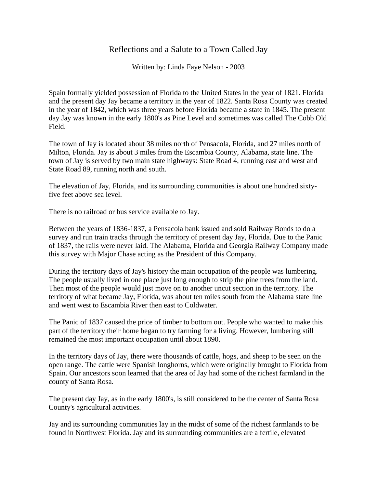## Reflections and a Salute to a Town Called Jay

Written by: Linda Faye Nelson - 2003

Spain formally yielded possession of Florida to the United States in the year of 1821. Florida and the present day Jay became a territory in the year of 1822. Santa Rosa County was created in the year of 1842, which was three years before Florida became a state in 1845. The present day Jay was known in the early 1800's as Pine Level and sometimes was called The Cobb Old Field.

The town of Jay is located about 38 miles north of Pensacola, Florida, and 27 miles north of Milton, Florida. Jay is about 3 miles from the Escambia County, Alabama, state line. The town of Jay is served by two main state highways: State Road 4, running east and west and State Road 89, running north and south.

The elevation of Jay, Florida, and its surrounding communities is about one hundred sixtyfive feet above sea level.

There is no railroad or bus service available to Jay.

Between the years of 1836-1837, a Pensacola bank issued and sold Railway Bonds to do a survey and run train tracks through the territory of present day Jay, Florida. Due to the Panic of 1837, the rails were never laid. The Alabama, Florida and Georgia Railway Company made this survey with Major Chase acting as the President of this Company.

During the territory days of Jay's history the main occupation of the people was lumbering. The people usually lived in one place just long enough to strip the pine trees from the land. Then most of the people would just move on to another uncut section in the territory. The territory of what became Jay, Florida, was about ten miles south from the Alabama state line and went west to Escambia River then east to Coldwater.

The Panic of 1837 caused the price of timber to bottom out. People who wanted to make this part of the territory their home began to try farming for a living. However, lumbering still remained the most important occupation until about 1890.

In the territory days of Jay, there were thousands of cattle, hogs, and sheep to be seen on the open range. The cattle were Spanish longhorns, which were originally brought to Florida from Spain. Our ancestors soon learned that the area of Jay had some of the richest farmland in the county of Santa Rosa.

The present day Jay, as in the early 1800's, is still considered to be the center of Santa Rosa County's agricultural activities.

Jay and its surrounding communities lay in the midst of some of the richest farmlands to be found in Northwest Florida. Jay and its surrounding communities are a fertile, elevated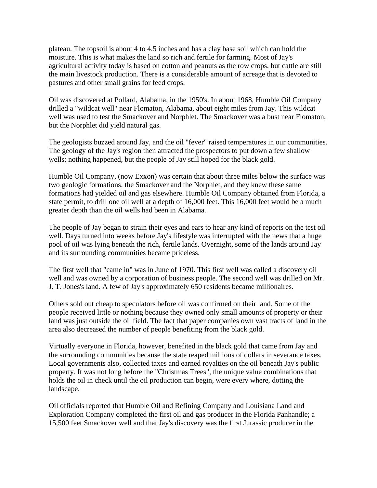plateau. The topsoil is about 4 to 4.5 inches and has a clay base soil which can hold the moisture. This is what makes the land so rich and fertile for farming. Most of Jay's agricultural activity today is based on cotton and peanuts as the row crops, but cattle are still the main livestock production. There is a considerable amount of acreage that is devoted to pastures and other small grains for feed crops.

Oil was discovered at Pollard, Alabama, in the 1950's. In about 1968, Humble Oil Company drilled a "wildcat well" near Flomaton, Alabama, about eight miles from Jay. This wildcat well was used to test the Smackover and Norphlet. The Smackover was a bust near Flomaton, but the Norphlet did yield natural gas.

The geologists buzzed around Jay, and the oil "fever" raised temperatures in our communities. The geology of the Jay's region then attracted the prospectors to put down a few shallow wells; nothing happened, but the people of Jay still hoped for the black gold.

Humble Oil Company, (now Exxon) was certain that about three miles below the surface was two geologic formations, the Smackover and the Norphlet, and they knew these same formations had yielded oil and gas elsewhere. Humble Oil Company obtained from Florida, a state permit, to drill one oil well at a depth of 16,000 feet. This 16,000 feet would be a much greater depth than the oil wells had been in Alabama.

The people of Jay began to strain their eyes and ears to hear any kind of reports on the test oil well. Days turned into weeks before Jay's lifestyle was interrupted with the news that a huge pool of oil was lying beneath the rich, fertile lands. Overnight, some of the lands around Jay and its surrounding communities became priceless.

The first well that "came in" was in June of 1970. This first well was called a discovery oil well and was owned by a corporation of business people. The second well was drilled on Mr. J. T. Jones's land. A few of Jay's approximately 650 residents became millionaires.

Others sold out cheap to speculators before oil was confirmed on their land. Some of the people received little or nothing because they owned only small amounts of property or their land was just outside the oil field. The fact that paper companies own vast tracts of land in the area also decreased the number of people benefiting from the black gold.

Virtually everyone in Florida, however, benefited in the black gold that came from Jay and the surrounding communities because the state reaped millions of dollars in severance taxes. Local governments also, collected taxes and earned royalties on the oil beneath Jay's public property. It was not long before the "Christmas Trees", the unique value combinations that holds the oil in check until the oil production can begin, were every where, dotting the landscape.

Oil officials reported that Humble Oil and Refining Company and Louisiana Land and Exploration Company completed the first oil and gas producer in the Florida Panhandle; a 15,500 feet Smackover well and that Jay's discovery was the first Jurassic producer in the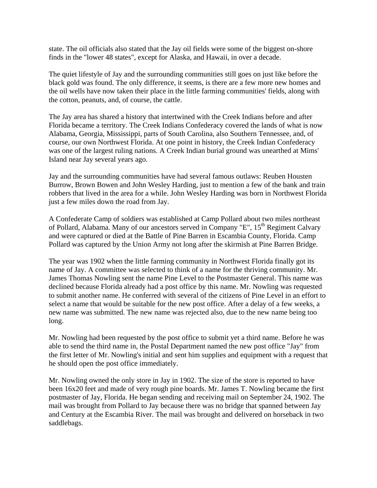state. The oil officials also stated that the Jay oil fields were some of the biggest on-shore finds in the "lower 48 states", except for Alaska, and Hawaii, in over a decade.

The quiet lifestyle of Jay and the surrounding communities still goes on just like before the black gold was found. The only difference, it seems, is there are a few more new homes and the oil wells have now taken their place in the little farming communities' fields, along with the cotton, peanuts, and, of course, the cattle.

The Jay area has shared a history that intertwined with the Creek Indians before and after Florida became a territory. The Creek Indians Confederacy covered the lands of what is now Alabama, Georgia, Mississippi, parts of South Carolina, also Southern Tennessee, and, of course, our own Northwest Florida. At one point in history, the Creek Indian Confederacy was one of the largest ruling nations. A Creek Indian burial ground was unearthed at Mims' Island near Jay several years ago.

Jay and the surrounding communities have had several famous outlaws: Reuben Housten Burrow, Brown Bowen and John Wesley Harding, just to mention a few of the bank and train robbers that lived in the area for a while. John Wesley Harding was born in Northwest Florida just a few miles down the road from Jay.

A Confederate Camp of soldiers was established at Camp Pollard about two miles northeast of Pollard, Alabama. Many of our ancestors served in Company "E",  $15<sup>th</sup>$  Regiment Calvary and were captured or died at the Battle of Pine Barren in Escambia County, Florida. Camp Pollard was captured by the Union Army not long after the skirmish at Pine Barren Bridge.

The year was 1902 when the little farming community in Northwest Florida finally got its name of Jay. A committee was selected to think of a name for the thriving community. Mr. James Thomas Nowling sent the name Pine Level to the Postmaster General. This name was declined because Florida already had a post office by this name. Mr. Nowling was requested to submit another name. He conferred with several of the citizens of Pine Level in an effort to select a name that would be suitable for the new post office. After a delay of a few weeks, a new name was submitted. The new name was rejected also, due to the new name being too long.

Mr. Nowling had been requested by the post office to submit yet a third name. Before he was able to send the third name in, the Postal Department named the new post office "Jay" from the first letter of Mr. Nowling's initial and sent him supplies and equipment with a request that he should open the post office immediately.

Mr. Nowling owned the only store in Jay in 1902. The size of the store is reported to have been 16x20 feet and made of very rough pine boards. Mr. James T. Nowling became the first postmaster of Jay, Florida. He began sending and receiving mail on September 24, 1902. The mail was brought from Pollard to Jay because there was no bridge that spanned between Jay and Century at the Escambia River. The mail was brought and delivered on horseback in two saddlebags.